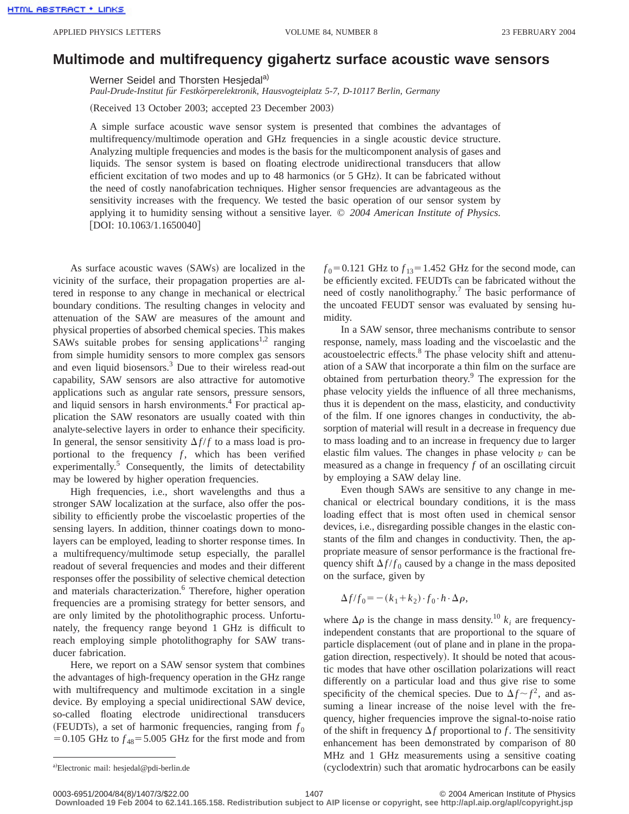## **Multimode and multifrequency gigahertz surface acoustic wave sensors**

Werner Seidel and Thorsten Hesjedal<sup>a)</sup>

*Paul-Drude-Institut fu¨r Festko¨rperelektronik, Hausvogteiplatz 5-7, D-10117 Berlin, Germany*

(Received 13 October 2003; accepted 23 December 2003)

A simple surface acoustic wave sensor system is presented that combines the advantages of multifrequency/multimode operation and GHz frequencies in a single acoustic device structure. Analyzing multiple frequencies and modes is the basis for the multicomponent analysis of gases and liquids. The sensor system is based on floating electrode unidirectional transducers that allow efficient excitation of two modes and up to  $48$  harmonics (or  $5$  GHz). It can be fabricated without the need of costly nanofabrication techniques. Higher sensor frequencies are advantageous as the sensitivity increases with the frequency. We tested the basic operation of our sensor system by applying it to humidity sensing without a sensitive layer. © *2004 American Institute of Physics.*  $[$ DOI: 10.1063/1.1650040]

As surface acoustic waves (SAWs) are localized in the vicinity of the surface, their propagation properties are altered in response to any change in mechanical or electrical boundary conditions. The resulting changes in velocity and attenuation of the SAW are measures of the amount and physical properties of absorbed chemical species. This makes SAWs suitable probes for sensing applications<sup>1,2</sup> ranging from simple humidity sensors to more complex gas sensors and even liquid biosensors.<sup>3</sup> Due to their wireless read-out capability, SAW sensors are also attractive for automotive applications such as angular rate sensors, pressure sensors, and liquid sensors in harsh environments.<sup>4</sup> For practical application the SAW resonators are usually coated with thin analyte-selective layers in order to enhance their specificity. In general, the sensor sensitivity  $\Delta f/f$  to a mass load is proportional to the frequency  $f$ , which has been verified experimentally.<sup>5</sup> Consequently, the limits of detectability may be lowered by higher operation frequencies.

High frequencies, i.e., short wavelengths and thus a stronger SAW localization at the surface, also offer the possibility to efficiently probe the viscoelastic properties of the sensing layers. In addition, thinner coatings down to monolayers can be employed, leading to shorter response times. In a multifrequency/multimode setup especially, the parallel readout of several frequencies and modes and their different responses offer the possibility of selective chemical detection and materials characterization.<sup>6</sup> Therefore, higher operation frequencies are a promising strategy for better sensors, and are only limited by the photolithographic process. Unfortunately, the frequency range beyond 1 GHz is difficult to reach employing simple photolithography for SAW transducer fabrication.

Here, we report on a SAW sensor system that combines the advantages of high-frequency operation in the GHz range with multifrequency and multimode excitation in a single device. By employing a special unidirectional SAW device, so-called floating electrode unidirectional transducers (FEUDTs), a set of harmonic frequencies, ranging from  $f_0$  $=0.105$  GHz to  $f_{48} = 5.005$  GHz for the first mode and from  $f_0$ =0.121 GHz to  $f_{13}$ =1.452 GHz for the second mode, can be efficiently excited. FEUDTs can be fabricated without the need of costly nanolithography.<sup>7</sup> The basic performance of the uncoated FEUDT sensor was evaluated by sensing humidity.

In a SAW sensor, three mechanisms contribute to sensor response, namely, mass loading and the viscoelastic and the acoustoelectric effects.8 The phase velocity shift and attenuation of a SAW that incorporate a thin film on the surface are obtained from perturbation theory.9 The expression for the phase velocity yields the influence of all three mechanisms, thus it is dependent on the mass, elasticity, and conductivity of the film. If one ignores changes in conductivity, the absorption of material will result in a decrease in frequency due to mass loading and to an increase in frequency due to larger elastic film values. The changes in phase velocity  $v$  can be measured as a change in frequency *f* of an oscillating circuit by employing a SAW delay line.

Even though SAWs are sensitive to any change in mechanical or electrical boundary conditions, it is the mass loading effect that is most often used in chemical sensor devices, i.e., disregarding possible changes in the elastic constants of the film and changes in conductivity. Then, the appropriate measure of sensor performance is the fractional frequency shift  $\Delta f/f_0$  caused by a change in the mass deposited on the surface, given by

$$
\Delta f/f_0 = -(k_1 + k_2) \cdot f_0 \cdot h \cdot \Delta \rho,
$$

where  $\Delta \rho$  is the change in mass density.<sup>10</sup>  $k_i$  are frequencyindependent constants that are proportional to the square of particle displacement (out of plane and in plane in the propagation direction, respectively). It should be noted that acoustic modes that have other oscillation polarizations will react differently on a particular load and thus give rise to some specificity of the chemical species. Due to  $\Delta f \sim f^2$ , and assuming a linear increase of the noise level with the frequency, higher frequencies improve the signal-to-noise ratio of the shift in frequency  $\Delta f$  proportional to *f*. The sensitivity enhancement has been demonstrated by comparison of 80 MHz and 1 GHz measurements using a sensitive coating (cyclodextrin) such that aromatic hydrocarbons can be easily

**Downloaded 19 Feb 2004 to 62.141.165.158. Redistribution subject to AIP license or copyright, see http://apl.aip.org/apl/copyright.jsp**

a)Electronic mail: hesjedal@pdi-berlin.de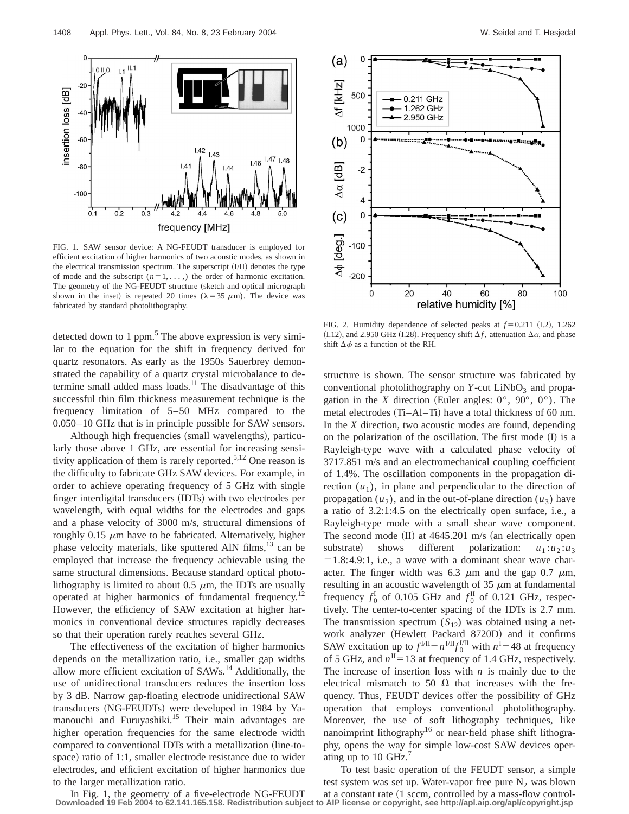

FIG. 1. SAW sensor device: A NG-FEUDT transducer is employed for efficient excitation of higher harmonics of two acoustic modes, as shown in the electrical transmission spectrum. The superscript  $(I/II)$  denotes the type of mode and the subscript  $(n=1, \ldots)$  the order of harmonic excitation. The geometry of the NG-FEUDT structure (sketch and optical micrograph shown in the inset) is repeated 20 times ( $\lambda = 35 \mu$ m). The device was fabricated by standard photolithography.

detected down to 1 ppm.<sup>5</sup> The above expression is very similar to the equation for the shift in frequency derived for quartz resonators. As early as the 1950s Sauerbrey demonstrated the capability of a quartz crystal microbalance to determine small added mass loads.<sup>11</sup> The disadvantage of this successful thin film thickness measurement technique is the frequency limitation of 5–50 MHz compared to the 0.050–10 GHz that is in principle possible for SAW sensors.

Although high frequencies (small wavelengths), particularly those above 1 GHz, are essential for increasing sensitivity application of them is rarely reported.<sup>5,12</sup> One reason is the difficulty to fabricate GHz SAW devices. For example, in order to achieve operating frequency of 5 GHz with single finger interdigital transducers (IDTs) with two electrodes per wavelength, with equal widths for the electrodes and gaps and a phase velocity of 3000 m/s, structural dimensions of roughly  $0.15 \mu m$  have to be fabricated. Alternatively, higher phase velocity materials, like sputtered AlN films,  $13$  can be employed that increase the frequency achievable using the same structural dimensions. Because standard optical photolithography is limited to about 0.5  $\mu$ m, the IDTs are usually operated at higher harmonics of fundamental frequency.<sup>12</sup> However, the efficiency of SAW excitation at higher harmonics in conventional device structures rapidly decreases so that their operation rarely reaches several GHz.

The effectiveness of the excitation of higher harmonics depends on the metallization ratio, i.e., smaller gap widths allow more efficient excitation of SAWs.14 Additionally, the use of unidirectional transducers reduces the insertion loss by 3 dB. Narrow gap-floating electrode unidirectional SAW transducers (NG-FEUDTs) were developed in 1984 by Yamanouchi and Furuyashiki.<sup>15</sup> Their main advantages are higher operation frequencies for the same electrode width compared to conventional IDTs with a metallization (line-tospace) ratio of 1:1, smaller electrode resistance due to wider electrodes, and efficient excitation of higher harmonics due to the larger metallization ratio.



FIG. 2. Humidity dependence of selected peaks at  $f = 0.211$  (I.2), 1.262  $(1.12)$ , and 2.950 GHz  $(1.28)$ . Frequency shift  $\Delta f$ , attenuation  $\Delta \alpha$ , and phase shift  $\Delta \phi$  as a function of the RH.

structure is shown. The sensor structure was fabricated by conventional photolithography on  $Y$ -cut LiNbO<sub>3</sub> and propagation in the *X* direction (Euler angles:  $0^{\circ}$ ,  $90^{\circ}$ ,  $0^{\circ}$ ). The metal electrodes  $(Ti–AI–Ti)$  have a total thickness of 60 nm. In the *X* direction, two acoustic modes are found, depending on the polarization of the oscillation. The first mode  $(I)$  is a Rayleigh-type wave with a calculated phase velocity of 3717.851 m/s and an electromechanical coupling coefficient of 1.4%. The oscillation components in the propagation direction  $(u_1)$ , in plane and perpendicular to the direction of propagation  $(u_2)$ , and in the out-of-plane direction  $(u_3)$  have a ratio of 3.2:1:4.5 on the electrically open surface, i.e., a Rayleigh-type mode with a small shear wave component. The second mode  $(II)$  at 4645.201 m/s (an electrically open substrate) shows different polarization:  $u_1 : u_2 : u_3$  $=1.8:4.9:1$ , i.e., a wave with a dominant shear wave character. The finger width was 6.3  $\mu$ m and the gap 0.7  $\mu$ m, resulting in an acoustic wavelength of  $35 \mu m$  at fundamental frequency  $f_0^I$  of 0.105 GHz and  $f_0^I$  of 0.121 GHz, respectively. The center-to-center spacing of the IDTs is 2.7 mm. The transmission spectrum  $(S_{12})$  was obtained using a network analyzer (Hewlett Packard 8720D) and it confirms SAW excitation up to  $f^{\text{III}} = n^{\text{III}} f_0^{\text{III}}$  with  $n^{\text{I}} = 48$  at frequency of 5 GHz, and  $n<sup>H</sup> = 13$  at frequency of 1.4 GHz, respectively. The increase of insertion loss with *n* is mainly due to the electrical mismatch to 50  $\Omega$  that increases with the frequency. Thus, FEUDT devices offer the possibility of GHz operation that employs conventional photolithography. Moreover, the use of soft lithography techniques, like nanoimprint lithography16 or near-field phase shift lithography, opens the way for simple low-cost SAW devices operating up to 10 GHz. $<sup>7</sup>$ </sup>

To test basic operation of the FEUDT sensor, a simple test system was set up. Water-vapor free pure  $N_2$  was blown at a constant rate  $(1$  sccm, controlled by a mass-flow control-

In Fig. 1, the geometry of a five-electrode NG-FEUDT **Downloaded 19 Feb 2004 to 62.141.165.158. Redistribution subject to AIP license or copyright, see http://apl.aip.org/apl/copyright.jsp**